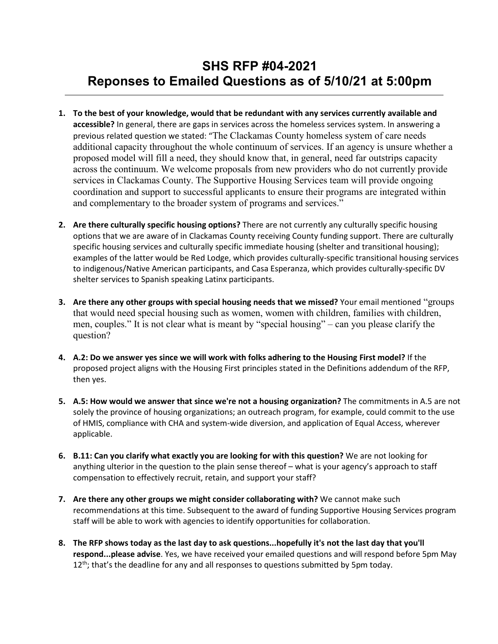## **SHS RFP #04-2021 Reponses to Emailed Questions as of 5/10/21 at 5:00pm**

- **1. To the best of your knowledge, would that be redundant with any services currently available and accessible?** In general, there are gaps in services across the homeless services system. In answering a previous related question we stated: "The Clackamas County homeless system of care needs additional capacity throughout the whole continuum of services. If an agency is unsure whether a proposed model will fill a need, they should know that, in general, need far outstrips capacity across the continuum. We welcome proposals from new providers who do not currently provide services in Clackamas County. The Supportive Housing Services team will provide ongoing coordination and support to successful applicants to ensure their programs are integrated within and complementary to the broader system of programs and services."
- **2. Are there culturally specific housing options?** There are not currently any culturally specific housing options that we are aware of in Clackamas County receiving County funding support. There are culturally specific housing services and culturally specific immediate housing (shelter and transitional housing); examples of the latter would be Red Lodge, which provides culturally-specific transitional housing services to indigenous/Native American participants, and Casa Esperanza, which provides culturally-specific DV shelter services to Spanish speaking Latinx participants.
- **3. Are there any other groups with special housing needs that we missed?** Your email mentioned "groups that would need special housing such as women, women with children, families with children, men, couples." It is not clear what is meant by "special housing" – can you please clarify the question?
- **4. A.2: Do we answer yes since we will work with folks adhering to the Housing First model?** If the proposed project aligns with the Housing First principles stated in the Definitions addendum of the RFP, then yes.
- **5. A.5: How would we answer that since we're not a housing organization?** The commitments in A.5 are not solely the province of housing organizations; an outreach program, for example, could commit to the use of HMIS, compliance with CHA and system-wide diversion, and application of Equal Access, wherever applicable.
- **6. B.11: Can you clarify what exactly you are looking for with this question?** We are not looking for anything ulterior in the question to the plain sense thereof – what is your agency's approach to staff compensation to effectively recruit, retain, and support your staff?
- **7. Are there any other groups we might consider collaborating with?** We cannot make such recommendations at this time. Subsequent to the award of funding Supportive Housing Services program staff will be able to work with agencies to identify opportunities for collaboration.
- **8. The RFP shows today as the last day to ask questions...hopefully it's not the last day that you'll respond...please advise**. Yes, we have received your emailed questions and will respond before 5pm May  $12<sup>th</sup>$ ; that's the deadline for any and all responses to questions submitted by 5pm today.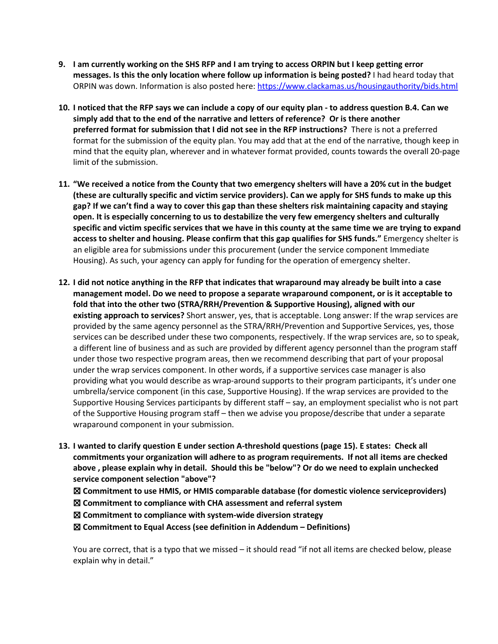- **9. I am currently working on the SHS RFP and I am trying to access ORPIN but I keep getting error messages. Is this the only location where follow up information is being posted?** I had heard today that ORPIN was down. Information is also posted here[: https://www.clackamas.us/housingauthority/bids.html](https://www.clackamas.us/housingauthority/bids.html)
- **10. I noticed that the RFP says we can include a copy of our equity plan - to address question B.4. Can we simply add that to the end of the narrative and letters of reference? Or is there another preferred format for submission that I did not see in the RFP instructions?** There is not a preferred format for the submission of the equity plan. You may add that at the end of the narrative, though keep in mind that the equity plan, wherever and in whatever format provided, counts towards the overall 20-page limit of the submission.
- **11. "We received a notice from the County that two emergency shelters will have a 20% cut in the budget (these are culturally specific and victim service providers). Can we apply for SHS funds to make up this gap? If we can't find a way to cover this gap than these shelters risk maintaining capacity and staying open. It is especially concerning to us to destabilize the very few emergency shelters and culturally specific and victim specific services that we have in this county at the same time we are trying to expand access to shelter and housing. Please confirm that this gap qualifies for SHS funds."** Emergency shelter is an eligible area for submissions under this procurement (under the service component Immediate Housing). As such, your agency can apply for funding for the operation of emergency shelter.
- **12. I did not notice anything in the RFP that indicates that wraparound may already be built into a case management model. Do we need to propose a separate wraparound component, or is it acceptable to fold that into the other two (STRA/RRH/Prevention & Supportive Housing), aligned with our existing approach to services?** Short answer, yes, that is acceptable. Long answer: If the wrap services are provided by the same agency personnel as the STRA/RRH/Prevention and Supportive Services, yes, those services can be described under these two components, respectively. If the wrap services are, so to speak, a different line of business and as such are provided by different agency personnel than the program staff under those two respective program areas, then we recommend describing that part of your proposal under the wrap services component. In other words, if a supportive services case manager is also providing what you would describe as wrap-around supports to their program participants, it's under one umbrella/service component (in this case, Supportive Housing). If the wrap services are provided to the Supportive Housing Services participants by different staff – say, an employment specialist who is not part of the Supportive Housing program staff – then we advise you propose/describe that under a separate wraparound component in your submission.
- **13. I wanted to clarify question E under section A-threshold questions (page 15). E states: Check all commitments your organization will adhere to as program requirements. If not all items are checked above , please explain why in detail. Should this be "below"? Or do we need to explain unchecked service component selection "above"?**
	- ☒ **Commitment to use HMIS, or HMIS comparable database (for domestic violence serviceproviders)**
	- ☒ **Commitment to compliance with CHA assessment and referral system**
	- ☒ **Commitment to compliance with system-wide diversion strategy**
	- ☒ **Commitment to Equal Access (see definition in Addendum – Definitions)**

You are correct, that is a typo that we missed – it should read "if not all items are checked below, please explain why in detail."